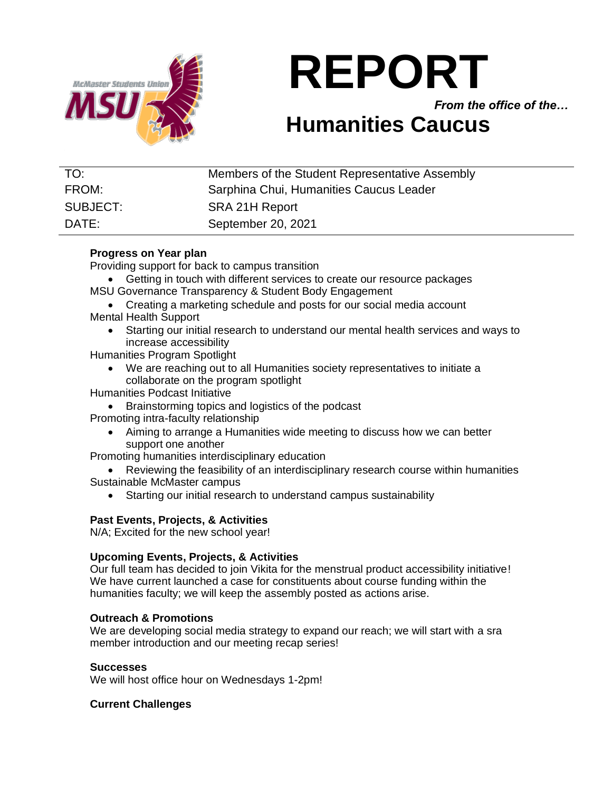

# **REPORT**

*From the office of the…*

## **Humanities Caucus**

| TO:      | Members of the Student Representative Assembly |
|----------|------------------------------------------------|
| FROM:    | Sarphina Chui, Humanities Caucus Leader        |
| SUBJECT: | SRA 21H Report                                 |
| DATE:    | September 20, 2021                             |

### **Progress on Year plan**

Providing support for back to campus transition

- Getting in touch with different services to create our resource packages
- MSU Governance Transparency & Student Body Engagement
- Creating a marketing schedule and posts for our social media account Mental Health Support
	- Starting our initial research to understand our mental health services and ways to increase accessibility
- Humanities Program Spotlight
	- We are reaching out to all Humanities society representatives to initiate a collaborate on the program spotlight
- Humanities Podcast Initiative
	- Brainstorming topics and logistics of the podcast

Promoting intra-faculty relationship

• Aiming to arrange a Humanities wide meeting to discuss how we can better support one another

Promoting humanities interdisciplinary education

• Reviewing the feasibility of an interdisciplinary research course within humanities Sustainable McMaster campus

• Starting our initial research to understand campus sustainability

#### **Past Events, Projects, & Activities**

N/A; Excited for the new school year!

#### **Upcoming Events, Projects, & Activities**

Our full team has decided to join Vikita for the menstrual product accessibility initiative! We have current launched a case for constituents about course funding within the humanities faculty; we will keep the assembly posted as actions arise.

#### **Outreach & Promotions**

We are developing social media strategy to expand our reach; we will start with a sra member introduction and our meeting recap series!

#### **Successes**

We will host office hour on Wednesdays 1-2pm!

#### **Current Challenges**